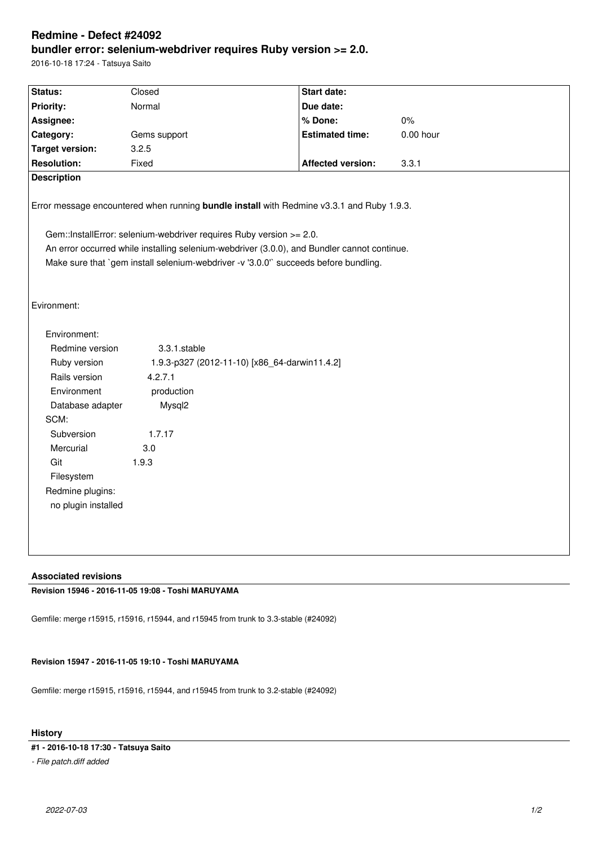# **Redmine - Defect #24092 bundler error: selenium-webdriver requires Ruby version >= 2.0.**

2016-10-18 17:24 - Tatsuya Saito

| Status:                                                                                                                                                          | Closed                                                   | Start date:              |             |
|------------------------------------------------------------------------------------------------------------------------------------------------------------------|----------------------------------------------------------|--------------------------|-------------|
| <b>Priority:</b>                                                                                                                                                 | Normal                                                   | Due date:                |             |
| Assignee:                                                                                                                                                        |                                                          | % Done:                  | 0%          |
| Category:                                                                                                                                                        | Gems support                                             | <b>Estimated time:</b>   | $0.00$ hour |
| <b>Target version:</b>                                                                                                                                           | 3.2.5                                                    |                          |             |
| <b>Resolution:</b>                                                                                                                                               | Fixed                                                    | <b>Affected version:</b> | 3.3.1       |
| <b>Description</b>                                                                                                                                               |                                                          |                          |             |
| Error message encountered when running bundle install with Redmine v3.3.1 and Ruby 1.9.3.<br>Gem::InstallError: selenium-webdriver requires Ruby version >= 2.0. |                                                          |                          |             |
| An error occurred while installing selenium-webdriver (3.0.0), and Bundler cannot continue.                                                                      |                                                          |                          |             |
| Make sure that `gem install selenium-webdriver -v '3.0.0'` succeeds before bundling.                                                                             |                                                          |                          |             |
|                                                                                                                                                                  |                                                          |                          |             |
|                                                                                                                                                                  |                                                          |                          |             |
| Evironment:                                                                                                                                                      |                                                          |                          |             |
| Environment:                                                                                                                                                     |                                                          |                          |             |
|                                                                                                                                                                  |                                                          |                          |             |
| Redmine version                                                                                                                                                  | 3.3.1.stable                                             |                          |             |
| Ruby version<br>Rails version                                                                                                                                    | 1.9.3-p327 (2012-11-10) [x86_64-darwin11.4.2]<br>4.2.7.1 |                          |             |
| Environment                                                                                                                                                      | production                                               |                          |             |
| Database adapter                                                                                                                                                 | Mysql2                                                   |                          |             |
| SCM:                                                                                                                                                             |                                                          |                          |             |
| Subversion                                                                                                                                                       | 1.7.17                                                   |                          |             |
| Mercurial                                                                                                                                                        | 3.0                                                      |                          |             |
| Git                                                                                                                                                              | 1.9.3                                                    |                          |             |
| Filesystem                                                                                                                                                       |                                                          |                          |             |
| Redmine plugins:                                                                                                                                                 |                                                          |                          |             |
| no plugin installed                                                                                                                                              |                                                          |                          |             |
|                                                                                                                                                                  |                                                          |                          |             |
|                                                                                                                                                                  |                                                          |                          |             |
|                                                                                                                                                                  |                                                          |                          |             |
|                                                                                                                                                                  |                                                          |                          |             |

### **Associated revisions**

**Revision 15946 - 2016-11-05 19:08 - Toshi MARUYAMA**

Gemfile: merge r15915, r15916, r15944, and r15945 from trunk to 3.3-stable (#24092)

#### **Revision 15947 - 2016-11-05 19:10 - Toshi MARUYAMA**

Gemfile: merge r15915, r15916, r15944, and r15945 from trunk to 3.2-stable (#24092)

#### **History**

**#1 - 2016-10-18 17:30 - Tatsuya Saito**

*- File patch.diff added*